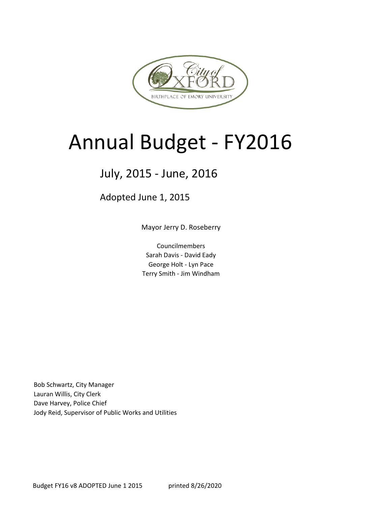

## Annual Budget - FY2016

## July, 2015 - June, 2016

Adopted June 1, 2015

Mayor Jerry D. Roseberry

Councilmembers Sarah Davis - David Eady George Holt - Lyn Pace Terry Smith - Jim Windham

Bob Schwartz, City Manager Lauran Willis, City Clerk Dave Harvey, Police Chief Jody Reid, Supervisor of Public Works and Utilities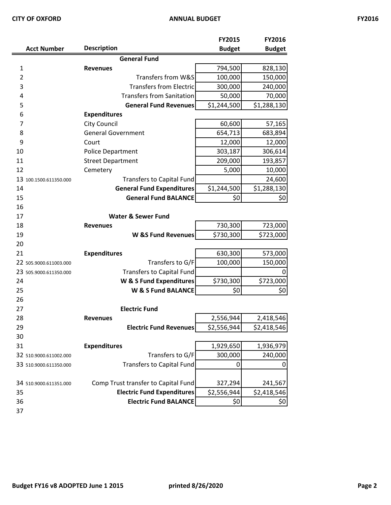| ×<br>ł |  |
|--------|--|
|--------|--|

|                        |                                     | FY2015        | FY2016        |
|------------------------|-------------------------------------|---------------|---------------|
| <b>Acct Number</b>     | <b>Description</b>                  | <b>Budget</b> | <b>Budget</b> |
|                        | <b>General Fund</b>                 |               |               |
| 1                      | <b>Revenues</b>                     | 794,500       | 828,130       |
| $\overline{2}$         | Transfers from W&S                  | 100,000       | 150,000       |
| 3                      | <b>Transfers from Electric</b>      | 300,000       | 240,000       |
| 4                      | <b>Transfers from Sanitation</b>    | 50,000        | 70,000        |
| 5                      | <b>General Fund Revenues</b>        | \$1,244,500   | \$1,288,130   |
| 6                      | <b>Expenditures</b>                 |               |               |
| 7                      | <b>City Council</b>                 | 60,600        | 57,165        |
| 8                      | <b>General Government</b>           | 654,713       | 683,894       |
| 9                      | Court                               | 12,000        | 12,000        |
| 10                     | <b>Police Department</b>            | 303,187       | 306,614       |
| 11                     | <b>Street Department</b>            | 209,000       | 193,857       |
| 12                     | Cemetery                            | 5,000         | 10,000        |
| 13 100.1500.611350.000 | Transfers to Capital Fund           |               | 24,600        |
| 14                     | <b>General Fund Expenditures</b>    | \$1,244,500   | \$1,288,130   |
| 15                     | <b>General Fund BALANCE</b>         | \$0           | 0\$           |
| 16                     |                                     |               |               |
| 17                     | <b>Water &amp; Sewer Fund</b>       |               |               |
| 18                     | <b>Revenues</b>                     | 730,300       | 723,000       |
| 19                     | <b>W &amp;S Fund Revenues</b>       | \$730,300     | \$723,000     |
| 20                     |                                     |               |               |
| 21                     | <b>Expenditures</b>                 | 630,300       | 573,000       |
| 22 505.9000.611003.000 | Transfers to G/F                    | 100,000       | 150,000       |
| 23 505.9000.611350.000 | <b>Transfers to Capital Fund</b>    |               | $\Omega$      |
| 24                     | W & S Fund Expenditures             | \$730,300     | \$723,000     |
| 25                     | W & S Fund BALANCE                  | \$0           | 0\$           |
| 26                     |                                     |               |               |
| 27                     | <b>Electric Fund</b>                |               |               |
| 28                     | <b>Revenues</b>                     | 2,556,944     | 2,418,546     |
| 29                     | <b>Electric Fund Revenues</b>       | \$2,556,944   | \$2,418,546   |
| 30                     |                                     |               |               |
| 31                     | <b>Expenditures</b>                 | 1,929,650     | 1,936,979     |
| 32 510.9000.611002.000 | Transfers to G/F                    | 300,000       | 240,000       |
| 33 510.9000.611350.000 | <b>Transfers to Capital Fund</b>    | 0             | 0             |
|                        |                                     |               |               |
| 34 510.9000.611351.000 | Comp Trust transfer to Capital Fund | 327,294       | 241,567       |
| 35                     | <b>Electric Fund Expenditures</b>   | \$2,556,944   | \$2,418,546   |
| 36                     | <b>Electric Fund BALANCE</b>        | \$0           | \$0           |
| 37                     |                                     |               |               |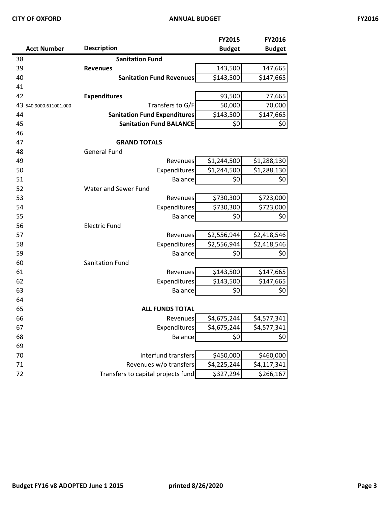|                        |                                     | <b>FY2015</b> | FY2016        |
|------------------------|-------------------------------------|---------------|---------------|
| <b>Acct Number</b>     | <b>Description</b>                  | <b>Budget</b> | <b>Budget</b> |
| 38                     | <b>Sanitation Fund</b>              |               |               |
| 39                     | <b>Revenues</b>                     | 143,500       | 147,665       |
| 40                     | <b>Sanitation Fund Revenues</b>     | \$143,500     | \$147,665     |
| 41                     |                                     |               |               |
| 42                     | <b>Expenditures</b>                 | 93,500        | 77,665        |
| 43 540.9000.611001.000 | Transfers to G/F                    | 50,000        | 70,000        |
| 44                     | <b>Sanitation Fund Expenditures</b> | \$143,500     | \$147,665     |
| 45                     | <b>Sanitation Fund BALANCE</b>      | \$0           | \$0           |
| 46                     |                                     |               |               |
| 47                     | <b>GRAND TOTALS</b>                 |               |               |
| 48                     | <b>General Fund</b>                 |               |               |
| 49                     | Revenues                            | \$1,244,500   | \$1,288,130   |
| 50                     | <b>Expenditures</b>                 | \$1,244,500   | \$1,288,130   |
| 51                     | <b>Balance</b>                      | \$0           | \$0           |
| 52                     | Water and Sewer Fund                |               |               |
| 53                     | Revenues                            | \$730,300     | \$723,000     |
| 54                     | Expenditures                        | \$730,300     | \$723,000     |
| 55                     | <b>Balance</b>                      | \$0           | \$0           |
| 56                     | <b>Electric Fund</b>                |               |               |
| 57                     | Revenues                            | \$2,556,944   | \$2,418,546   |
| 58                     | Expenditures                        | \$2,556,944   | \$2,418,546   |
| 59                     | <b>Balance</b>                      | \$0           | \$0           |
| 60                     | Sanitation Fund                     |               |               |
| 61                     | Revenues                            | \$143,500     | \$147,665     |
| 62                     | Expenditures                        | \$143,500     | \$147,665     |
| 63                     | <b>Balance</b>                      | \$0           | \$0           |
| 64                     |                                     |               |               |
| 65                     | <b>ALL FUNDS TOTAL</b>              |               |               |
| 66                     | Revenues                            | \$4,675,244   | \$4,577,341   |
| 67                     | Expenditures                        | \$4,675,244   | \$4,577,341   |
| 68                     | <b>Balance</b>                      | \$0           | \$0           |
| 69                     |                                     |               |               |
| 70                     | interfund transfers                 | \$450,000     | \$460,000     |
| 71                     | Revenues w/o transfers              | \$4,225,244   | \$4,117,341   |
| 72                     | Transfers to capital projects fund  | \$327,294     | \$266,167     |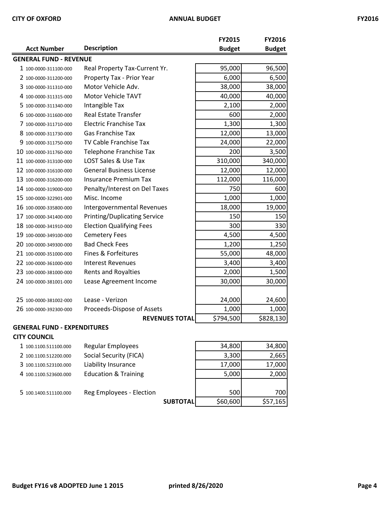|                               |                                     | <b>FY2015</b> | FY2016        |
|-------------------------------|-------------------------------------|---------------|---------------|
| <b>Acct Number</b>            | <b>Description</b>                  | <b>Budget</b> | <b>Budget</b> |
| <b>GENERAL FUND - REVENUE</b> |                                     |               |               |
| 1 100-0000-311100-000         | Real Property Tax-Current Yr.       | 95,000        | 96,500        |
| 2 100-0000-311200-000         | Property Tax - Prior Year           | 6,000         | 6,500         |
| 3 100-0000-311310-000         | Motor Vehicle Adv.                  | 38,000        | 38,000        |
| 4 100-0000-311315-000         | Motor Vehicle TAVT                  | 40,000        | 40,000        |
| 5 100-0000-311340-000         | Intangible Tax                      | 2,100         | 2,000         |
| 6 100-0000-311600-000         | <b>Real Estate Transfer</b>         | 600           | 2,000         |
| 7 100-0000-311710-000         | <b>Electric Franchise Tax</b>       | 1,300         | 1,300         |
| 8 100-0000-311730-000         | <b>Gas Franchise Tax</b>            | 12,000        | 13,000        |
| 9 100-0000-311750-000         | TV Cable Franchise Tax              | 24,000        | 22,000        |
| 10 100-0000-311760-000        | <b>Telephone Franchise Tax</b>      | 200           | 3,500         |
| 11 100-0000-313100-000        | LOST Sales & Use Tax                | 310,000       | 340,000       |
| 12 100-0000-316100-000        | <b>General Business License</b>     | 12,000        | 12,000        |
| 13 100-0000-316200-000        | <b>Insurance Premium Tax</b>        | 112,000       | 116,000       |
| 14 100-0000-319000-000        | Penalty/Interest on Del Taxes       | 750           | 600           |
| 15 100-0000-322901-000        | Misc. Income                        | 1,000         | 1,000         |
| 16 100-0000-335800-000        | <b>Intergovernmental Revenues</b>   | 18,000        | 19,000        |
| 17 100-0000-341400-000        | <b>Printing/Duplicating Service</b> | 150           | 150           |
| 18 100-0000-341910-000        | <b>Election Qualifying Fees</b>     | 300           | 330           |
| 19 100-0000-349100-000        | <b>Cemetery Fees</b>                | 4,500         | 4,500         |
| 20 100-0000-349300-000        | <b>Bad Check Fees</b>               | 1,200         | 1,250         |
| 21 100-0000-351000-000        | Fines & Forfeitures                 | 55,000        | 48,000        |
| 22 100-0000-361000-000        | <b>Interest Revenues</b>            | 3,400         | 3,400         |
| 23 100-0000-381000-000        | <b>Rents and Royalties</b>          | 2,000         | 1,500         |
| 24 100-0000-381001-000        | Lease Agreement Income              | 30,000        | 30,000        |
| 25 100-0000-381002-000        | Lease - Verizon                     | 24,000        | 24,600        |
| 26 100-0000-392300-000        | Proceeds-Dispose of Assets          | 1,000         | 1,000         |
|                               | <b>REVENUES TOTAL</b>               | \$794,500     | \$828,130     |

#### **GENERAL FUND - EXPENDITURES**

#### **CITY COUNCIL**

| 1 100.1100.511100.000 | <b>Regular Employees</b>        |                 | 34,800   | 34,800   |
|-----------------------|---------------------------------|-----------------|----------|----------|
| 2 100.1100.512200.000 | Social Security (FICA)          |                 | 3,300    | 2,665    |
| 3 100.1100.523100.000 | Liability Insurance             |                 | 17,000   | 17,000   |
| 4 100.1100.523600.000 | <b>Education &amp; Training</b> |                 | 5,000    | 2,000    |
|                       |                                 |                 |          |          |
| 5 100.1400.511100.000 | Reg Employees - Election        |                 | 500      | 700      |
|                       |                                 | <b>SUBTOTAL</b> | \$60,600 | \$57,165 |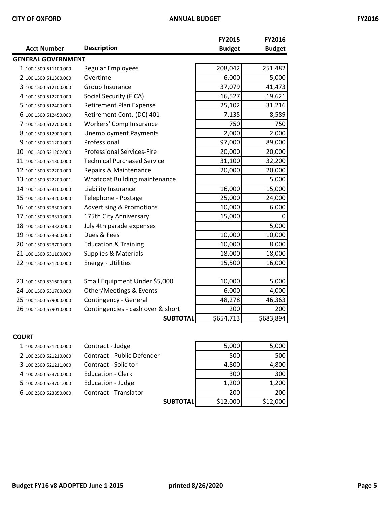|                           |                                      | <b>FY2015</b> | FY2016        |
|---------------------------|--------------------------------------|---------------|---------------|
| <b>Acct Number</b>        | <b>Description</b>                   | <b>Budget</b> | <b>Budget</b> |
| <b>GENERAL GOVERNMENT</b> |                                      |               |               |
| 1 100.1500.511100.000     | Regular Employees                    | 208,042       | 251,482       |
| 2 100.1500.511300.000     | Overtime                             | 6,000         | 5,000         |
| 3 100.1500.512100.000     | Group Insurance                      | 37,079        | 41,473        |
| 4 100.1500.512200.000     | Social Security (FICA)               | 16,527        | 19,621        |
| 5 100.1500.512400.000     | <b>Retirement Plan Expense</b>       | 25,102        | 31,216        |
| 6 100.1500.512450.000     | Retirement Cont. (DC) 401            | 7,135         | 8,589         |
| 7 100.1500.512700.000     | <b>Workers' Comp Insurance</b>       | 750           | 750           |
| 8 100.1500.512900.000     | <b>Unemployment Payments</b>         | 2,000         | 2,000         |
| 9 100.1500.521200.000     | Professional                         | 97,000        | 89,000        |
| 10 100.1500.521202.000    | <b>Professional Services-Fire</b>    | 20,000        | 20,000        |
| 11 100.1500.521300.000    | <b>Technical Purchased Service</b>   | 31,100        | 32,200        |
| 12 100.1500.522200.000    | Repairs & Maintenance                | 20,000        | 20,000        |
| 13 100.1500.522200.001    | <b>Whatcoat Building maintenance</b> |               | 5,000         |
| 14 100.1500.523100.000    | Liability Insurance                  | 16,000        | 15,000        |
| 15 100.1500.523200.000    | Telephone - Postage                  | 25,000        | 24,000        |
| 16 100.1500.523300.000    | <b>Advertising &amp; Promotions</b>  | 10,000        | 6,000         |
| 17 100.1500.523310.000    | 175th City Anniversary               | 15,000        | 0             |
| 18 100.1500.523320.000    | July 4th parade expenses             |               | 5,000         |
| 19 100.1500.523600.000    | Dues & Fees                          | 10,000        | 10,000        |
| 20 100.1500.523700.000    | <b>Education &amp; Training</b>      | 10,000        | 8,000         |
| 21 100.1500.531100.000    | <b>Supplies &amp; Materials</b>      | 18,000        | 18,000        |
| 22 100.1500.531200.000    | <b>Energy - Utilities</b>            | 15,500        | 16,000        |
|                           |                                      |               |               |
| 23 100.1500.531600.000    | Small Equipment Under \$5,000        | 10,000        | 5,000         |
| 24 100.1500.531700.000    | Other/Meetings & Events              | 6,000         | 4,000         |
| 25 100.1500.579000.000    | Contingency - General                | 48,278        | 46,363        |
| 26 100.1500.579010.000    | Contingencies - cash over & short    | 200           | 200           |
|                           | <b>SUBTOTAL</b>                      | \$654,713     | \$683,894     |

#### **COURT**

| 1 100.2500.521200.000 | Contract - Judge           | 5,000    | 5,000    |
|-----------------------|----------------------------|----------|----------|
| 2 100.2500.521210.000 | Contract - Public Defender | 500      | 500      |
| 3 100.2500.521211.000 | Contract - Solicitor       | 4,800    | 4,800    |
| 4 100.2500.523700.000 | <b>Education - Clerk</b>   | 300      | 300      |
| 5 100.2500.523701.000 | Education - Judge          | 1,200    | 1,200    |
| 6 100.2500.523850.000 | Contract - Translator      | 200      | 200      |
|                       | <b>SUBTOTAL</b>            | \$12,000 | \$12,000 |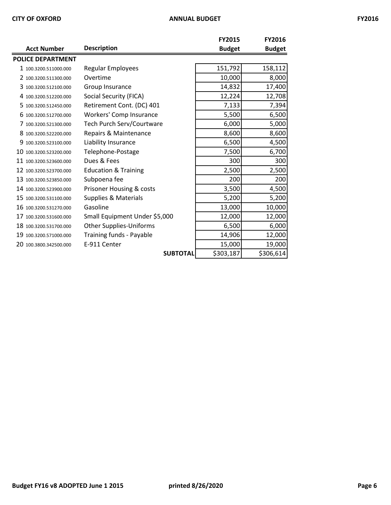| × | ۰.<br>×<br>٧ |
|---|--------------|
|---|--------------|

|                          |                                 | <b>FY2015</b> | <b>FY2016</b> |
|--------------------------|---------------------------------|---------------|---------------|
| <b>Acct Number</b>       | <b>Description</b>              | <b>Budget</b> | <b>Budget</b> |
| <b>POLICE DEPARTMENT</b> |                                 |               |               |
| 1 100.3200.511000.000    | Regular Employees               | 151,792       | 158,112       |
| 2 100.3200.511300.000    | Overtime                        | 10,000        | 8,000         |
| 3 100.3200.512100.000    | Group Insurance                 | 14,832        | 17,400        |
| 4 100.3200.512200.000    | Social Security (FICA)          | 12,224        | 12,708        |
| 5 100.3200.512450.000    | Retirement Cont. (DC) 401       | 7,133         | 7,394         |
| 6 100.3200.512700.000    | Workers' Comp Insurance         | 5,500         | 6,500         |
| 7 100.3200.521300.000    | Tech Purch Serv/Courtware       | 6,000         | 5,000         |
| 8 100.3200.522200.000    | Repairs & Maintenance           | 8,600         | 8,600         |
| 9 100.3200.523100.000    | Liability Insurance             | 6,500         | 4,500         |
| 10 100.3200.523200.000   | Telephone-Postage               | 7,500         | 6,700         |
| 11 100.3200.523600.000   | Dues & Fees                     | 300           | 300           |
| 12 100.3200.523700.000   | <b>Education &amp; Training</b> | 2,500         | 2,500         |
| 13 100.3200.523850.000   | Subpoena fee                    | 200           | 200           |
| 14 100.3200.523900.000   | Prisoner Housing & costs        | 3,500         | 4,500         |
| 15 100.3200.531100.000   | <b>Supplies &amp; Materials</b> | 5,200         | 5,200         |
| 16 100.3200.531270.000   | Gasoline                        | 13,000        | 10,000        |
| 17 100.3200.531600.000   | Small Equipment Under \$5,000   | 12,000        | 12,000        |
| 18 100.3200.531700.000   | <b>Other Supplies-Uniforms</b>  | 6,500         | 6,000         |
| 19 100.3200.571000.000   | Training funds - Payable        | 14,906        | 12,000        |
| 20 100.3800.342500.000   | E-911 Center                    | 15,000        | 19,000        |
|                          | <b>SUBTOTAL</b>                 | \$303,187     | \$306,614     |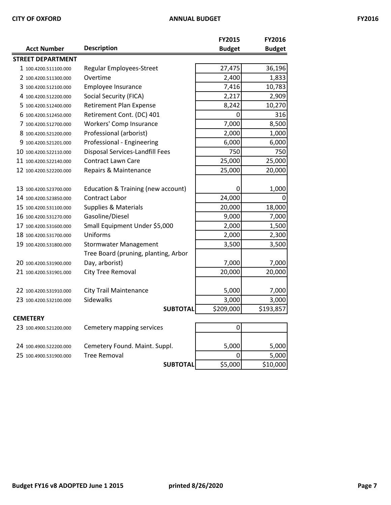| <b>Acct Number</b>       | <b>Description</b>                            | FY2015<br><b>Budget</b> | FY2016<br><b>Budget</b> |
|--------------------------|-----------------------------------------------|-------------------------|-------------------------|
| <b>STREET DEPARTMENT</b> |                                               |                         |                         |
| 1 100.4200.511100.000    | <b>Regular Employees-Street</b>               | 27,475                  | 36,196                  |
| 2 100.4200.511300.000    | Overtime                                      | 2,400                   | 1,833                   |
| 3 100.4200.512100.000    | Employee Insurance                            | 7,416                   | 10,783                  |
| 4 100.4200.512200.000    | Social Security (FICA)                        | 2,217                   | 2,909                   |
| 5 100.4200.512400.000    | <b>Retirement Plan Expense</b>                | 8,242                   | 10,270                  |
| 6 100.4200.512450.000    | Retirement Cont. (DC) 401                     | 0                       | 316                     |
| 7 100.4200.512700.000    | <b>Workers' Comp Insurance</b>                | 7,000                   | 8,500                   |
| 8 100.4200.521200.000    | Professional (arborist)                       | 2,000                   | 1,000                   |
| 9 100.4200.521201.000    | Professional - Engineering                    | 6,000                   | 6,000                   |
| 10 100.4200.522110.000   | Disposal Services-Landfill Fees               | 750                     | 750                     |
| 11 100.4200.522140.000   | <b>Contract Lawn Care</b>                     | 25,000                  | 25,000                  |
| 12 100.4200.522200.000   | Repairs & Maintenance                         | 25,000                  | 20,000                  |
|                          |                                               |                         |                         |
| 13 100.4200.523700.000   | <b>Education &amp; Training (new account)</b> | 0                       | 1,000                   |
| 14 100.4200.523850.000   | Contract Labor                                | 24,000                  | 0                       |
| 15 100.4200.531100.000   | <b>Supplies &amp; Materials</b>               | 20,000                  | 18,000                  |
| 16 100.4200.531270.000   | Gasoline/Diesel                               | 9,000                   | 7,000                   |
| 17 100.4200.531600.000   | Small Equipment Under \$5,000                 | 2,000                   | 1,500                   |
| 18 100.4200.531700.000   | Uniforms                                      | 2,000                   | 2,300                   |
| 19 100.4200.531800.000   | <b>Stormwater Management</b>                  | 3,500                   | 3,500                   |
|                          | Tree Board (pruning, planting, Arbor          |                         |                         |
| 20 100.4200.531900.000   | Day, arborist)                                | 7,000                   | 7,000                   |
| 21 100.4200.531901.000   | City Tree Removal                             | 20,000                  | 20,000                  |
|                          |                                               |                         |                         |
| 22 100.4200.531910.000   | <b>City Trail Maintenance</b>                 | 5,000                   | 7,000                   |
| 23 100.4200.532100.000   | <b>Sidewalks</b>                              | 3,000                   | 3,000                   |
|                          | <b>SUBTOTAL</b>                               | \$209,000               | \$193,857               |
| <b>CEMETERY</b>          |                                               |                         |                         |
| 23 100.4900.521200.000   | Cemetery mapping services                     | $\boldsymbol{0}$        |                         |
|                          |                                               |                         |                         |

| 23 100.4900.521200.000 | Cemetery mapping services     |         |          |
|------------------------|-------------------------------|---------|----------|
|                        |                               |         |          |
| 24 100.4900.522200.000 | Cemetery Found. Maint. Suppl. | 5,000   | 5,000    |
| 25 100.4900.531900.000 | <b>Tree Removal</b>           |         | 5,000    |
|                        | <b>SUBTOTAL</b>               | \$5,000 | \$10,000 |

|      | 5,000   | 5,000    |
|------|---------|----------|
|      |         | 5,000    |
| OTAL | \$5,000 | \$10,000 |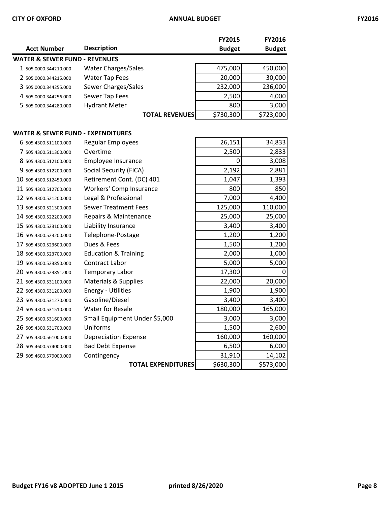|                                   |                                 | <b>FY2015</b> | FY2016        |
|-----------------------------------|---------------------------------|---------------|---------------|
| <b>Acct Number</b>                | <b>Description</b>              | <b>Budget</b> | <b>Budget</b> |
| WATER & SEWER FUND - REVENUES     |                                 |               |               |
| 1 505.0000.344210.000             | <b>Water Charges/Sales</b>      | 475,000       | 450,000       |
| 2 505.0000.344215.000             | <b>Water Tap Fees</b>           | 20,000        | 30,000        |
| 3 505.0000.344255.000             | Sewer Charges/Sales             | 232,000       | 236,000       |
| 4 505.0000.344256.000             | Sewer Tap Fees                  | 2,500         | 4,000         |
| 5 505.0000.344280.000             | <b>Hydrant Meter</b>            | 800           | 3,000         |
|                                   | <b>TOTAL REVENUES</b>           | \$730,300     | \$723,000     |
| WATER & SEWER FUND - EXPENDITURES |                                 |               |               |
| 6 505.4300.511100.000             | <b>Regular Employees</b>        | 26,151        | 34,833        |
| 7 505.4300.511300.000             | Overtime                        | 2,500         | 2,833         |
| 8 505.4300.512100.000             | Employee Insurance              | 0             | 3,008         |
| 9 505.4300.512200.000             | Social Security (FICA)          | 2,192         | 2,881         |
| 10 505.4300.512450.000            | Retirement Cont. (DC) 401       | 1,047         | 1,393         |
| 11 505.4300.512700.000            | Workers' Comp Insurance         | 800           | 850           |
| 12 505.4300.521200.000            | Legal & Professional            | 7,000         | 4,400         |
| 13 505.4300.521300.000            | <b>Sewer Treatment Fees</b>     | 125,000       | 110,000       |
| 14 505.4300.522200.000            | Repairs & Maintenance           | 25,000        | 25,000        |
| 15 505.4300.523100.000            | Liability Insurance             | 3,400         | 3,400         |
| 16 505.4300.523200.000            | Telephone-Postage               | 1,200         | 1,200         |
| 17 505.4300.523600.000            | Dues & Fees                     | 1,500         | 1,200         |
| 18 505.4300.523700.000            | <b>Education &amp; Training</b> | 2,000         | 1,000         |
| 19 505.4300.523850.000            | <b>Contract Labor</b>           | 5,000         | 5,000         |
| 20 505.4300.523851.000            | Temporary Labor                 | 17,300        | 0             |
| 21 505.4300.531100.000            | <b>Materials &amp; Supplies</b> | 22,000        | 20,000        |
| 22 505.4300.531200.000            | <b>Energy - Utilities</b>       | 1,900         | 1,900         |
| 23 505.4300.531270.000            | Gasoline/Diesel                 | 3,400         | 3,400         |
| 24 505.4300.531510.000            | <b>Water for Resale</b>         | 180,000       | 165,000       |
| 25 505.4300.531600.000            | Small Equipment Under \$5,000   | 3,000         | 3,000         |
| 26 505.4300.531700.000            | Uniforms                        | 1,500         | 2,600         |
| 27 505.4300.561000.000            | <b>Depreciation Expense</b>     | 160,000       | 160,000       |
| 28 505.4600.574000.000            | <b>Bad Debt Expense</b>         | 6,500         | 6,000         |
| 29 505.4600.579000.000            | Contingency                     | 31,910        | 14,102        |
|                                   | <b>TOTAL EXPENDITURES</b>       | \$630,300     | \$573,000     |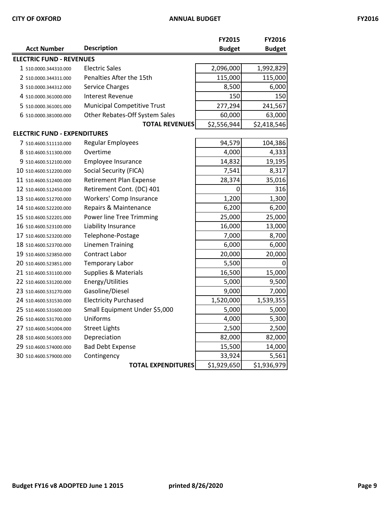| 'r<br>۰. |  |
|----------|--|
|----------|--|

|                                     |                                    | <b>FY2015</b> | <b>FY2016</b> |
|-------------------------------------|------------------------------------|---------------|---------------|
| <b>Acct Number</b>                  | <b>Description</b>                 | <b>Budget</b> | <b>Budget</b> |
| <b>ELECTRIC FUND - REVENUES</b>     |                                    |               |               |
| 1 510.0000.344310.000               | <b>Electric Sales</b>              | 2,096,000     | 1,992,829     |
| 2 510.0000.344311.000               | Penalties After the 15th           | 115,000       | 115,000       |
| 3 510.0000.344312.000               | Service Charges                    | 8,500         | 6,000         |
| 4 510.0000.361000.000               | <b>Interest Revenue</b>            | 150           | 150           |
| 5 510.0000.361001.000               | <b>Municipal Competitive Trust</b> | 277,294       | 241,567       |
| 6 510.0000.381000.000               | Other Rebates-Off System Sales     | 60,000        | 63,000        |
|                                     | <b>TOTAL REVENUES</b>              | \$2,556,944   | \$2,418,546   |
| <b>ELECTRIC FUND - EXPENDITURES</b> |                                    |               |               |
| 7 510.4600.511110.000               | <b>Regular Employees</b>           | 94,579        | 104,386       |
| 8 510.4600.511300.000               | Overtime                           | 4,000         | 4,333         |
| 9 510.4600.512100.000               | Employee Insurance                 | 14,832        | 19,195        |
| 10 510.4600.512200.000              | Social Security (FICA)             | 7,541         | 8,317         |
| 11 510.4600.512400.000              | <b>Retirement Plan Expense</b>     | 28,374        | 35,016        |
| 12 510.4600.512450.000              | Retirement Cont. (DC) 401          | 0             | 316           |
| 13 510.4600.512700.000              | Workers' Comp Insurance            | 1,200         | 1,300         |
| 14 510.4600.522200.000              | Repairs & Maintenance              | 6,200         | 6,200         |
| 15 510.4600.522201.000              | Power line Tree Trimming           | 25,000        | 25,000        |
| 16 510.4600.523100.000              | Liability Insurance                | 16,000        | 13,000        |
| 17 510.4600.523200.000              | Telephone-Postage                  | 7,000         | 8,700         |
| 18 510.4600.523700.000              | <b>Linemen Training</b>            | 6,000         | 6,000         |
| 19 510.4600.523850.000              | <b>Contract Labor</b>              | 20,000        | 20,000        |
| 20 510.4600.523851.000              | Temporary Labor                    | 5,500         | 0             |
| 21 510.4600.531100.000              | Supplies & Materials               | 16,500        | 15,000        |
| 22 510.4600.531200.000              | Energy/Utilities                   | 5,000         | 9,500         |
| 23 510.4600.531270.000              | Gasoline/Diesel                    | 9,000         | 7,000         |
| 24 510.4600.531530.000              | <b>Electricity Purchased</b>       | 1,520,000     | 1,539,355     |
| 25 510.4600.531600.000              | Small Equipment Under \$5,000      | 5,000         | 5,000         |
| 26 510.4600.531700.000              | Uniforms                           | 4,000         | 5,300         |
| 27 510.4600.541004.000              | <b>Street Lights</b>               | 2,500         | 2,500         |
| 28 510.4600.561003.000              | Depreciation                       | 82,000        | 82,000        |
| 29 510.4600.574000.000              | <b>Bad Debt Expense</b>            | 15,500        | 14,000        |
| 30 510.4600.579000.000              | Contingency                        | 33,924        | 5,561         |
|                                     | <b>TOTAL EXPENDITURES</b>          | \$1,929,650   | \$1,936,979   |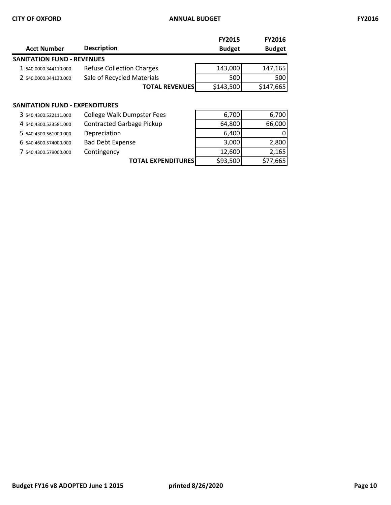|                                       |                                  | <b>FY2015</b> | <b>FY2016</b> |
|---------------------------------------|----------------------------------|---------------|---------------|
| <b>Acct Number</b>                    | <b>Description</b>               | <b>Budget</b> | <b>Budget</b> |
| <b>SANITATION FUND - REVENUES</b>     |                                  |               |               |
| 1 540.0000.344110.000                 | <b>Refuse Collection Charges</b> | 143,000       | 147,165       |
| 2 540.0000.344130.000                 | Sale of Recycled Materials       | 500           | 500           |
|                                       | <b>TOTAL REVENUES</b>            | \$143,500     | \$147,665     |
|                                       |                                  |               |               |
| <b>SANITATION FUND - EXPENDITURES</b> |                                  |               |               |
|                                       |                                  | ---           |               |

| <b>College Walk Dumpster Fees</b> | 6,700                                                                                |
|-----------------------------------|--------------------------------------------------------------------------------------|
| <b>Contracted Garbage Pickup</b>  | 66,000                                                                               |
| Depreciation                      |                                                                                      |
| <b>Bad Debt Expense</b>           | 2,800                                                                                |
| Contingency                       | 2,165                                                                                |
|                                   | \$77,665                                                                             |
|                                   | 6,700<br>64,800<br>6,400<br>3,000<br>12,600<br>\$93,500<br><b>TOTAL EXPENDITURES</b> |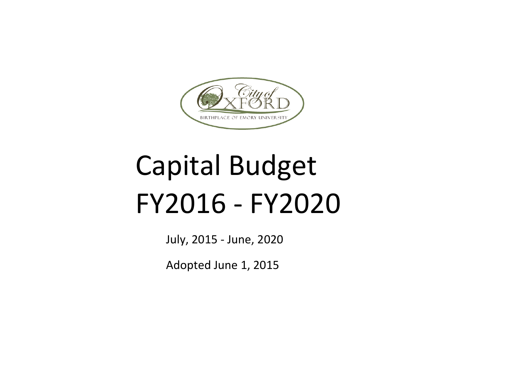

# Capital Budget FY2016 - FY2020

July, 2015 - June, 2020

Adopted June 1, 2015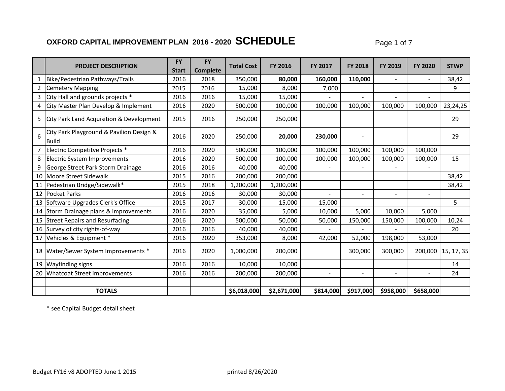## **OXFORD CAPITAL IMPROVEMENT PLAN 2016 - 2020 SCHEDULE** Page 1 of 7

|                |                                                     | <b>FY</b>    | <b>FY</b>       |                   |                |                |                |                |                |                    |
|----------------|-----------------------------------------------------|--------------|-----------------|-------------------|----------------|----------------|----------------|----------------|----------------|--------------------|
|                | <b>PROJECT DESCRIPTION</b>                          | <b>Start</b> | <b>Complete</b> | <b>Total Cost</b> | <b>FY 2016</b> | <b>FY 2017</b> | <b>FY 2018</b> | <b>FY 2019</b> | <b>FY 2020</b> | <b>STWP</b>        |
|                | Bike/Pedestrian Pathways/Trails                     | 2016         | 2018            | 350,000           | 80,000         | 160,000        | 110,000        |                |                | 38,42              |
| $\overline{2}$ | Cemetery Mapping                                    | 2015         | 2016            | 15,000            | 8,000          | 7,000          |                |                |                | 9                  |
| 3              | City Hall and grounds projects *                    | 2016         | 2016            | 15,000            | 15,000         |                | $\sim$         | $\sim$         |                |                    |
|                | 4 City Master Plan Develop & Implement              | 2016         | 2020            | 500,000           | 100,000        | 100,000        | 100,000        | 100,000        | 100,000        | 23,24,25           |
| 5.             | <b>City Park Land Acquisition &amp; Development</b> | 2015         | 2016            | 250,000           | 250,000        |                |                |                |                | 29                 |
| 6              | City Park Playground & Pavilion Design &<br>Build   | 2016         | 2020            | 250,000           | 20,000         | 230,000        |                |                |                | 29                 |
|                | Electric Competitve Projects *                      | 2016         | 2020            | 500,000           | 100,000        | 100,000        | 100,000        | 100,000        | 100,000        |                    |
|                | 8 Electric System Improvements                      | 2016         | 2020            | 500,000           | 100,000        | 100,000        | 100,000        | 100,000        | 100,000        | 15                 |
| 9              | George Street Park Storm Drainage                   | 2016         | 2016            | 40,000            | 40,000         |                |                |                |                |                    |
|                | 10 Moore Street Sidewalk                            | 2015         | 2016            | 200,000           | 200,000        |                |                |                |                | 38,42              |
|                | 11 Pedestrian Bridge/Sidewalk*                      | 2015         | 2018            | 1,200,000         | 1,200,000      |                |                |                |                | 38,42              |
|                | 12 Pocket Parks                                     | 2016         | 2016            | 30,000            | 30,000         |                |                |                |                |                    |
|                | 13 Software Upgrades Clerk's Office                 | 2015         | 2017            | 30,000            | 15,000         | 15,000         |                |                |                | 5                  |
|                | 14 Storm Drainage plans & improvements              | 2016         | 2020            | 35,000            | 5,000          | 10,000         | 5,000          | 10,000         | 5,000          |                    |
|                | 15 Street Repairs and Resurfacing                   | 2016         | 2020            | 500,000           | 50,000         | 50,000         | 150,000        | 150,000        | 100,000        | 10,24              |
|                | 16 Survey of city rights-of-way                     | 2016         | 2016            | 40,000            | 40,000         |                |                |                |                | 20                 |
|                | 17 Vehicles & Equipment *                           | 2016         | 2020            | 353,000           | 8,000          | 42,000         | 52,000         | 198,000        | 53,000         |                    |
|                | 18 Water/Sewer System Improvements *                | 2016         | 2020            | 1,000,000         | 200,000        |                | 300,000        | 300,000        |                | 200,000 15, 17, 35 |
|                | 19 Wayfinding signs                                 | 2016         | 2016            | 10,000            | 10,000         |                |                |                |                | 14                 |
|                | 20 Whatcoat Street improvements                     | 2016         | 2016            | 200,000           | 200,000        |                | $\blacksquare$ | $\sim$         |                | 24                 |
|                |                                                     |              |                 |                   |                |                |                |                |                |                    |
|                | <b>TOTALS</b>                                       |              |                 | \$6,018,000       | \$2,671,000    | \$814,000      | \$917,000      | \$958,000      | \$658,000      |                    |

\* see Capital Budget detail sheet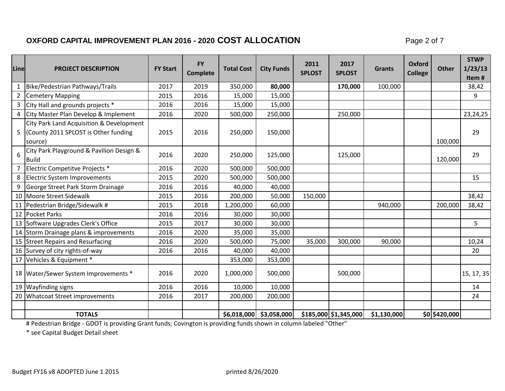#### **OXFORD CAPITAL IMPROVEMENT PLAN 2016 - 2020 COST ALLOCATION** Page 2 of 7

| Line           | <b>PROJECT DESCRIPTION</b>                                                                   | <b>FY Start</b> | <b>FY</b><br><b>Complete</b> | <b>Total Cost</b> | <b>City Funds</b>       | 2011<br><b>SPLOST</b> | 2017<br><b>SPLOST</b> | <b>Grants</b> | <b>Oxford</b><br><b>College</b> | <b>Other</b>  | <b>STWP</b><br>1/23/13<br>Item# |
|----------------|----------------------------------------------------------------------------------------------|-----------------|------------------------------|-------------------|-------------------------|-----------------------|-----------------------|---------------|---------------------------------|---------------|---------------------------------|
| $\mathbf{1}$   | Bike/Pedestrian Pathways/Trails                                                              | 2017            | 2019                         | 350,000           | 80,000                  |                       | 170,000               | 100,000       |                                 |               | 38,42                           |
| $\overline{2}$ | <b>Cemetery Mapping</b>                                                                      | 2015            | 2016                         | 15,000            | 15,000                  |                       |                       |               |                                 |               | 9                               |
| 3              | City Hall and grounds projects *                                                             | 2016            | 2016                         | 15,000            | 15,000                  |                       |                       |               |                                 |               |                                 |
|                | 4 City Master Plan Develop & Implement                                                       | 2016            | 2020                         | 500,000           | 250,000                 |                       | 250,000               |               |                                 |               | 23,24,25                        |
|                | City Park Land Acquisition & Development<br>5 County 2011 SPLOST is Other funding<br>source) | 2015            | 2016                         | 250,000           | 150,000                 |                       |                       |               |                                 | 100,000       | 29                              |
| 6              | City Park Playground & Pavilion Design &<br><b>Build</b>                                     | 2016            | 2020                         | 250,000           | 125,000                 |                       | 125,000               |               |                                 | 120,000       | 29                              |
| 7              | Electric Competitve Projects *                                                               | 2016            | 2020                         | 500,000           | 500,000                 |                       |                       |               |                                 |               |                                 |
| 8              | Electric System Improvements                                                                 | 2015            | 2020                         | 500,000           | 500,000                 |                       |                       |               |                                 |               | 15                              |
| 9              | George Street Park Storm Drainage                                                            | 2016            | 2016                         | 40,000            | 40,000                  |                       |                       |               |                                 |               |                                 |
|                | 10 Moore Street Sidewalk                                                                     | 2015            | 2016                         | 200,000           | 50,000                  | 150,000               |                       |               |                                 |               | 38,42                           |
|                | 11 Pedestrian Bridge/Sidewalk #                                                              | 2015            | 2018                         | 1,200,000         | 60,000                  |                       |                       | 940,000       |                                 | 200,000       | 38,42                           |
|                | 12 Pocket Parks                                                                              | 2016            | 2016                         | 30,000            | 30,000                  |                       |                       |               |                                 |               |                                 |
|                | 13 Software Upgrades Clerk's Office                                                          | 2015            | 2017                         | 30,000            | 30,000                  |                       |                       |               |                                 |               | 5 <sup>5</sup>                  |
|                | 14 Storm Drainage plans & improvements                                                       | 2016            | 2020                         | 35,000            | 35,000                  |                       |                       |               |                                 |               |                                 |
|                | 15 Street Repairs and Resurfacing                                                            | 2016            | 2020                         | 500,000           | 75,000                  | 35,000                | 300,000               | 90,000        |                                 |               | 10,24                           |
|                | 16 Survey of city rights-of-way                                                              | 2016            | 2016                         | 40,000            | 40,000                  |                       |                       |               |                                 |               | 20                              |
|                | 17 Vehicles & Equipment *                                                                    |                 |                              | 353,000           | 353,000                 |                       |                       |               |                                 |               |                                 |
|                | 18   Water/Sewer System Improvements *                                                       | 2016            | 2020                         | 1,000,000         | 500,000                 |                       | 500,000               |               |                                 |               | 15, 17, 35                      |
|                | 19 Wayfinding signs                                                                          | 2016            | 2016                         | 10,000            | 10,000                  |                       |                       |               |                                 |               | 14                              |
|                | 20 Whatcoat Street improvements                                                              | 2016            | 2017                         | 200,000           | 200,000                 |                       |                       |               |                                 |               | 24                              |
|                |                                                                                              |                 |                              |                   |                         |                       |                       |               |                                 |               |                                 |
|                | <b>TOTALS</b>                                                                                |                 |                              |                   | \$6,018,000 \$3,058,000 |                       | \$185,000 \$1,345,000 | \$1,130,000   |                                 | \$0 \$420,000 |                                 |

# Pedestrian Bridge - GDOT is providing Grant funds; Covington is providing funds shown in column labeled "Other"

\* see Capital Budget Detail sheet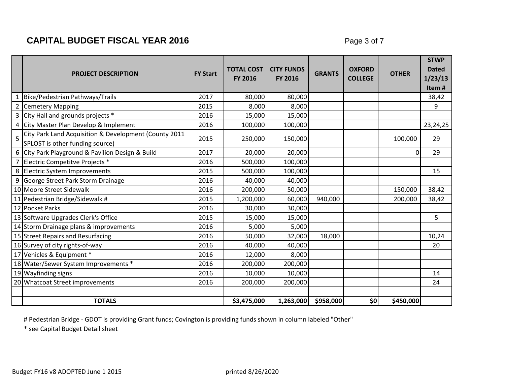## **CAPITAL BUDGET FISCAL YEAR 2016 Page 3 of 7**

|   | <b>PROJECT DESCRIPTION</b>                                                               | <b>FY Start</b> | <b>TOTAL COST</b><br><b>FY 2016</b> | <b>CITY FUNDS</b><br><b>FY 2016</b> | <b>GRANTS</b> | <b>OXFORD</b><br><b>COLLEGE</b> | <b>OTHER</b> | <b>STWP</b><br><b>Dated</b><br>1/23/13<br>Item# |
|---|------------------------------------------------------------------------------------------|-----------------|-------------------------------------|-------------------------------------|---------------|---------------------------------|--------------|-------------------------------------------------|
|   | 1 Bike/Pedestrian Pathways/Trails                                                        | 2017            | 80,000                              | 80,000                              |               |                                 |              | 38,42                                           |
|   | 2 Cemetery Mapping                                                                       | 2015            | 8,000                               | 8,000                               |               |                                 |              | 9                                               |
|   | 3 City Hall and grounds projects *                                                       | 2016            | 15,000                              | 15,000                              |               |                                 |              |                                                 |
|   | 4 City Master Plan Develop & Implement                                                   | 2016            | 100,000                             | 100,000                             |               |                                 |              | 23, 24, 25                                      |
| 5 | City Park Land Acquisition & Development (County 2011<br>SPLOST is other funding source) | 2015            | 250,000                             | 150,000                             |               |                                 | 100,000      | 29                                              |
|   | 6 City Park Playground & Pavilion Design & Build                                         | 2017            | 20,000                              | 20,000                              |               |                                 | $\Omega$     | 29                                              |
|   | 7 Electric Competitve Projects *                                                         | 2016            | 500,000                             | 100,000                             |               |                                 |              |                                                 |
|   | 8 Electric System Improvements                                                           | 2015            | 500,000                             | 100,000                             |               |                                 |              | 15                                              |
|   | 9 George Street Park Storm Drainage                                                      | 2016            | 40,000                              | 40,000                              |               |                                 |              |                                                 |
|   | 10 Moore Street Sidewalk                                                                 | 2016            | 200,000                             | 50,000                              |               |                                 | 150,000      | 38,42                                           |
|   | 11 Pedestrian Bridge/Sidewalk #                                                          | 2015            | 1,200,000                           | 60,000                              | 940,000       |                                 | 200,000      | 38,42                                           |
|   | 12 Pocket Parks                                                                          | 2016            | 30,000                              | 30,000                              |               |                                 |              |                                                 |
|   | 13 Software Upgrades Clerk's Office                                                      | 2015            | 15,000                              | 15,000                              |               |                                 |              | 5                                               |
|   | 14 Storm Drainage plans & improvements                                                   | 2016            | 5,000                               | 5,000                               |               |                                 |              |                                                 |
|   | 15 Street Repairs and Resurfacing                                                        | 2016            | 50,000                              | 32,000                              | 18,000        |                                 |              | 10,24                                           |
|   | 16 Survey of city rights-of-way                                                          | 2016            | 40,000                              | 40,000                              |               |                                 |              | 20                                              |
|   | 17 Vehicles & Equipment *                                                                | 2016            | 12,000                              | 8,000                               |               |                                 |              |                                                 |
|   | 18 Water/Sewer System Improvements *                                                     | 2016            | 200,000                             | 200,000                             |               |                                 |              |                                                 |
|   | 19 Wayfinding signs                                                                      | 2016            | 10,000                              | 10,000                              |               |                                 |              | 14                                              |
|   | 20 Whatcoat Street improvements                                                          | 2016            | 200,000                             | 200,000                             |               |                                 |              | 24                                              |
|   |                                                                                          |                 |                                     |                                     |               |                                 |              |                                                 |
|   | <b>TOTALS</b>                                                                            |                 | \$3,475,000                         | 1,263,000                           | \$958,000     | \$0                             | \$450,000    |                                                 |

# Pedestrian Bridge - GDOT is providing Grant funds; Covington is providing funds shown in column labeled "Other"

\* see Capital Budget Detail sheet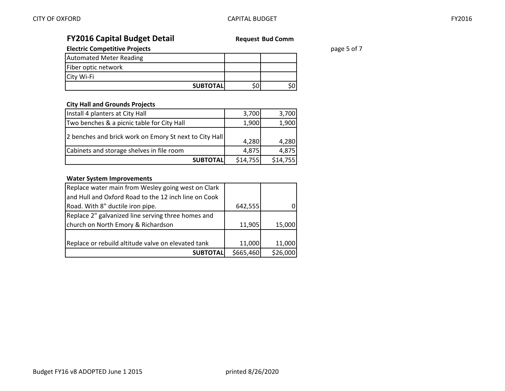## **FY2016 Capital Budget Detail Request Bud Comm**

**Electric Competitive Projects page 5 of 7 page 5 of 7** 

| <b>Automated Meter Reading</b> |                  |  |
|--------------------------------|------------------|--|
| Fiber optic network            |                  |  |
| City Wi-Fi                     |                  |  |
|                                | <b>SUBTOTALI</b> |  |

#### **City Hall and Grounds Projects**

| Install 4 planters at City Hall                        | 3,700    | 3,700    |
|--------------------------------------------------------|----------|----------|
| Two benches & a picnic table for City Hall             | 1,900    | 1,900    |
| 2 benches and brick work on Emory St next to City Hall | 4,280    | 4,280    |
| Cabinets and storage shelves in file room              | 4,875    | 4,875    |
| <b>SUBTOTALI</b>                                       | \$14,755 | \$14,755 |

#### **Water System Improvements**

| Replace water main from Wesley going west on Clark   |           |          |
|------------------------------------------------------|-----------|----------|
| and Hull and Oxford Road to the 12 inch line on Cook |           |          |
| Road. With 8" ductile iron pipe.                     | 642,555   |          |
| Replace 2" galvanized line serving three homes and   |           |          |
| church on North Emory & Richardson                   | 11,905    | 15,000   |
|                                                      |           |          |
| Replace or rebuild altitude valve on elevated tank   | 11,000    | 11,000   |
| <b>SUBTOTALI</b>                                     | \$665,460 | \$26,000 |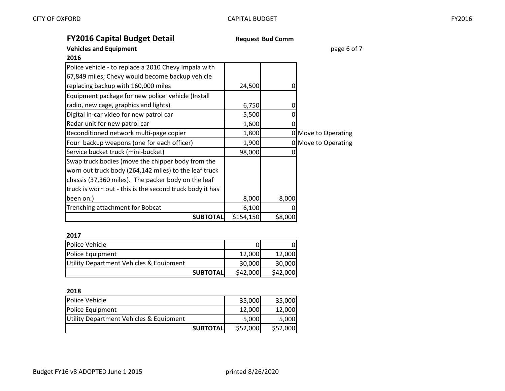## **FY2016 Capital Budget Detail Request Bud Comm**

#### **Vehicles and Equipment page 6 of 7 page 6 of 7**

| 2016                                                     |           |         |                     |
|----------------------------------------------------------|-----------|---------|---------------------|
| Police vehicle - to replace a 2010 Chevy Impala with     |           |         |                     |
| 67,849 miles; Chevy would become backup vehicle          |           |         |                     |
| replacing backup with 160,000 miles                      | 24,500    |         |                     |
| Equipment package for new police vehicle (Install        |           |         |                     |
| radio, new cage, graphics and lights)                    | 6,750     |         |                     |
| Digital in-car video for new patrol car                  | 5,500     |         |                     |
| Radar unit for new patrol car                            | 1,600     |         |                     |
| Reconditioned network multi-page copier                  | 1,800     |         | 0 Move to Operating |
| Four backup weapons (one for each officer)               | 1,900     |         | 0 Move to Operating |
| Service bucket truck (mini-bucket)                       | 98,000    |         |                     |
| Swap truck bodies (move the chipper body from the        |           |         |                     |
| worn out truck body (264,142 miles) to the leaf truck    |           |         |                     |
| chassis (37,360 miles). The packer body on the leaf      |           |         |                     |
| truck is worn out - this is the second truck body it has |           |         |                     |
| been on.)                                                | 8,000     | 8,000   |                     |
| Trenching attachment for Bobcat                          | 6,100     |         |                     |
| <b>SUBTOTAL</b>                                          | \$154,150 | \$8,000 |                     |

#### **2017**

| Police Vehicle                          |                  |          |          |
|-----------------------------------------|------------------|----------|----------|
| Police Equipment                        |                  | 12.000   | 12.000   |
| Utility Department Vehicles & Equipment |                  | 30.000l  | 30,000   |
|                                         | <b>SUBTOTALI</b> | \$42,000 | \$42,000 |

#### **2018**

| Police Vehicle                          | 35,000   | 35,000   |
|-----------------------------------------|----------|----------|
| Police Equipment                        | 12.000   | 12,000   |
| Utility Department Vehicles & Equipment | 5,000    | 5,000    |
| <b>SUBTOTALI</b>                        | \$52,000 | \$52,000 |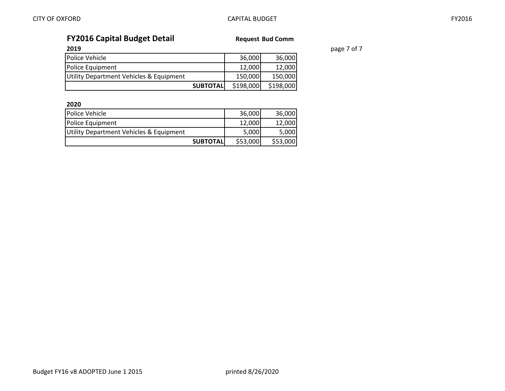**2019** page 7 of 7

| <b>FY2016 Capital Budget Detail</b>     | <b>Request Bud Comm</b> |           |           |
|-----------------------------------------|-------------------------|-----------|-----------|
| 2019                                    |                         |           |           |
| Police Vehicle                          |                         | 36,000    | 36,000    |
| Police Equipment                        |                         | 12,000    | 12,000    |
| Utility Department Vehicles & Equipment |                         | 150,000   | 150,000   |
|                                         | <b>SUBTOTAL</b>         | \$198,000 | \$198,000 |

**2020**

| Police Vehicle                          |                  | 36,000   | 36,000   |
|-----------------------------------------|------------------|----------|----------|
| Police Equipment                        |                  | 12.000   | 12.000   |
| Utility Department Vehicles & Equipment |                  | 5,000    | 5,000    |
|                                         | <b>SUBTOTALI</b> | \$53,000 | \$53,000 |